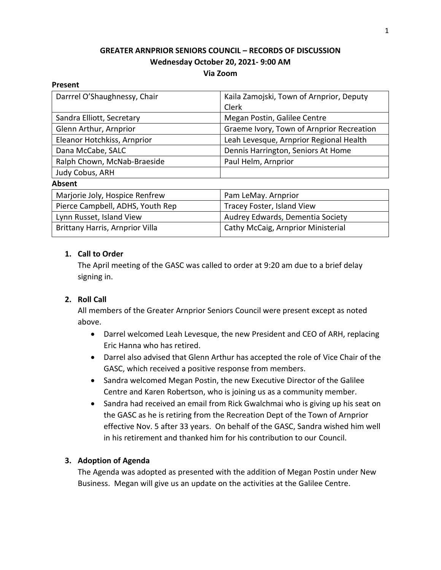# **GREATER ARNPRIOR SENIORS COUNCIL – RECORDS OF DISCUSSION Wednesday October 20, 2021- 9:00 AM Via Zoom**

#### **Present**

| Darrrel O'Shaughnessy, Chair     | Kaila Zamojski, Town of Arnprior, Deputy  |
|----------------------------------|-------------------------------------------|
|                                  | Clerk                                     |
| Sandra Elliott, Secretary        | Megan Postin, Galilee Centre              |
| Glenn Arthur, Arnprior           | Graeme Ivory, Town of Arnprior Recreation |
| Eleanor Hotchkiss, Arnprior      | Leah Levesque, Arnprior Regional Health   |
| Dana McCabe, SALC                | Dennis Harrington, Seniors At Home        |
| Ralph Chown, McNab-Braeside      | Paul Helm, Arnprior                       |
| Judy Cobus, ARH                  |                                           |
| <b>Absent</b>                    |                                           |
| Marjorie Joly, Hospice Renfrew   | Pam LeMay. Arnprior                       |
| Pierce Campbell, ADHS, Youth Rep | Tracey Foster, Island View                |
| Lynn Russet, Island View         | Audrey Edwards, Dementia Society          |
| Brittany Harris, Arnprior Villa  | Cathy McCaig, Arnprior Ministerial        |

## **1. Call to Order**

The April meeting of the GASC was called to order at 9:20 am due to a brief delay signing in.

## **2. Roll Call**

All members of the Greater Arnprior Seniors Council were present except as noted above.

- Darrel welcomed Leah Levesque, the new President and CEO of ARH, replacing Eric Hanna who has retired.
- Darrel also advised that Glenn Arthur has accepted the role of Vice Chair of the GASC, which received a positive response from members.
- Sandra welcomed Megan Postin, the new Executive Director of the Galilee Centre and Karen Robertson, who is joining us as a community member.
- Sandra had received an email from Rick Gwalchmai who is giving up his seat on the GASC as he is retiring from the Recreation Dept of the Town of Arnprior effective Nov. 5 after 33 years. On behalf of the GASC, Sandra wished him well in his retirement and thanked him for his contribution to our Council.

## **3. Adoption of Agenda**

The Agenda was adopted as presented with the addition of Megan Postin under New Business. Megan will give us an update on the activities at the Galilee Centre.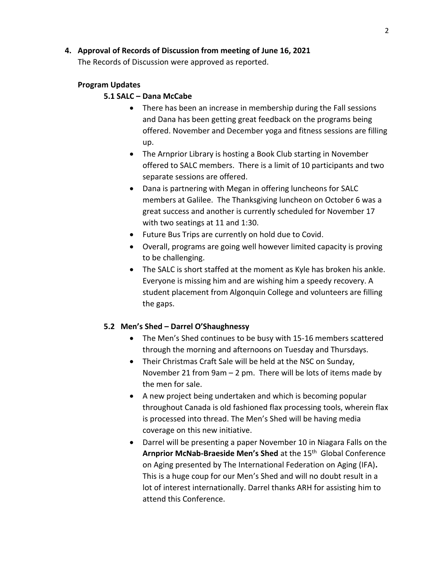## **4. Approval of Records of Discussion from meeting of June 16, 2021**

The Records of Discussion were approved as reported.

## **Program Updates**

#### **5.1 SALC – Dana McCabe**

- There has been an increase in membership during the Fall sessions and Dana has been getting great feedback on the programs being offered. November and December yoga and fitness sessions are filling up.
- The Arnprior Library is hosting a Book Club starting in November offered to SALC members. There is a limit of 10 participants and two separate sessions are offered.
- Dana is partnering with Megan in offering luncheons for SALC members at Galilee. The Thanksgiving luncheon on October 6 was a great success and another is currently scheduled for November 17 with two seatings at 11 and 1:30.
- Future Bus Trips are currently on hold due to Covid.
- Overall, programs are going well however limited capacity is proving to be challenging.
- The SALC is short staffed at the moment as Kyle has broken his ankle. Everyone is missing him and are wishing him a speedy recovery. A student placement from Algonquin College and volunteers are filling the gaps.

## **5.2 Men's Shed – Darrel O'Shaughnessy**

- The Men's Shed continues to be busy with 15-16 members scattered through the morning and afternoons on Tuesday and Thursdays.
- Their Christmas Craft Sale will be held at the NSC on Sunday, November 21 from 9am – 2 pm. There will be lots of items made by the men for sale.
- A new project being undertaken and which is becoming popular throughout Canada is old fashioned flax processing tools, wherein flax is processed into thread. The Men's Shed will be having media coverage on this new initiative.
- Darrel will be presenting a paper November 10 in Niagara Falls on the Arnprior McNab-Braeside Men's Shed at the 15<sup>th</sup> Global Conference on Aging presented by The International Federation on Aging (IFA)**.**  This is a huge coup for our Men's Shed and will no doubt result in a lot of interest internationally. Darrel thanks ARH for assisting him to attend this Conference.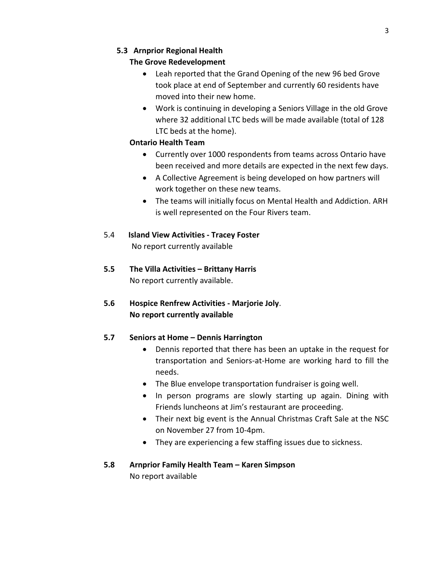# **5.3 Arnprior Regional Health**

# **The Grove Redevelopment**

- Leah reported that the Grand Opening of the new 96 bed Grove took place at end of September and currently 60 residents have moved into their new home.
- Work is continuing in developing a Seniors Village in the old Grove where 32 additional LTC beds will be made available (total of 128 LTC beds at the home).

# **Ontario Health Team**

- Currently over 1000 respondents from teams across Ontario have been received and more details are expected in the next few days.
- A Collective Agreement is being developed on how partners will work together on these new teams.
- The teams will initially focus on Mental Health and Addiction. ARH is well represented on the Four Rivers team.
- 5.4 **Island View Activities - Tracey Foster** No report currently available
- **5.5 The Villa Activities – Brittany Harris** No report currently available.
- **5.6 Hospice Renfrew Activities - Marjorie Joly**. **No report currently available**

# **5.7 Seniors at Home – Dennis Harrington**

- Dennis reported that there has been an uptake in the request for transportation and Seniors-at-Home are working hard to fill the needs.
- The Blue envelope transportation fundraiser is going well.
- In person programs are slowly starting up again. Dining with Friends luncheons at Jim's restaurant are proceeding.
- Their next big event is the Annual Christmas Craft Sale at the NSC on November 27 from 10-4pm.
- They are experiencing a few staffing issues due to sickness.
- **5.8 Arnprior Family Health Team – Karen Simpson** No report available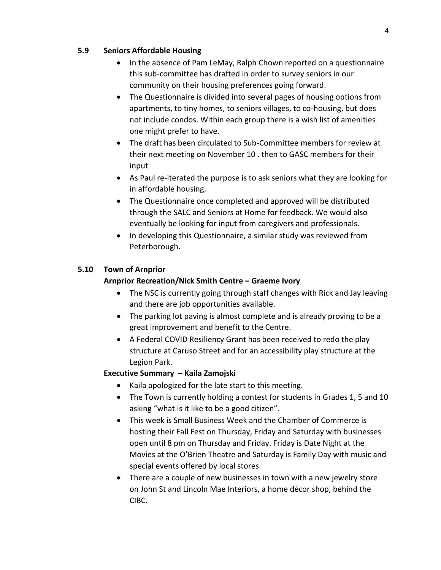## **5.9 Seniors Affordable Housing**

- In the absence of Pam LeMay, Ralph Chown reported on a questionnaire this sub-committee has drafted in order to survey seniors in our community on their housing preferences going forward.
- The Questionnaire is divided into several pages of housing options from apartments, to tiny homes, to seniors villages, to co-housing, but does not include condos. Within each group there is a wish list of amenities one might prefer to have.
- The draft has been circulated to Sub-Committee members for review at their next meeting on November 10 . then to GASC members for their input
- As Paul re-iterated the purpose is to ask seniors what they are looking for in affordable housing.
- The Questionnaire once completed and approved will be distributed through the SALC and Seniors at Home for feedback. We would also eventually be looking for input from caregivers and professionals.
- In developing this Questionnaire, a similar study was reviewed from Peterborough**.**

# **5.10 Town of Arnprior**

## **Arnprior Recreation/Nick Smith Centre – Graeme Ivory**

- The NSC is currently going through staff changes with Rick and Jay leaving and there are job opportunities available.
- The parking lot paving is almost complete and is already proving to be a great improvement and benefit to the Centre.
- A Federal COVID Resiliency Grant has been received to redo the play structure at Caruso Street and for an accessibility play structure at the Legion Park.

# **Executive Summary – Kaila Zamojski**

- Kaila apologized for the late start to this meeting.
- The Town is currently holding a contest for students in Grades 1, 5 and 10 asking "what is it like to be a good citizen".
- This week is Small Business Week and the Chamber of Commerce is hosting their Fall Fest on Thursday, Friday and Saturday with businesses open until 8 pm on Thursday and Friday. Friday is Date Night at the Movies at the O'Brien Theatre and Saturday is Family Day with music and special events offered by local stores.
- There are a couple of new businesses in town with a new jewelry store on John St and Lincoln Mae Interiors, a home décor shop, behind the CIBC.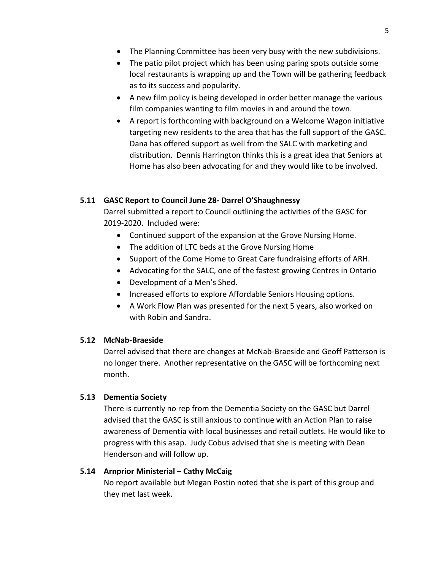- The Planning Committee has been very busy with the new subdivisions.
- The patio pilot project which has been using paring spots outside some local restaurants is wrapping up and the Town will be gathering feedback as to its success and popularity.
- A new film policy is being developed in order better manage the various film companies wanting to film movies in and around the town.
- A report is forthcoming with background on a Welcome Wagon initiative targeting new residents to the area that has the full support of the GASC. Dana has offered support as well from the SALC with marketing and distribution. Dennis Harrington thinks this is a great idea that Seniors at Home has also been advocating for and they would like to be involved.

## **5.11 GASC Report to Council June 28- Darrel O'Shaughnessy**

Darrel submitted a report to Council outlining the activities of the GASC for 2019-2020. Included were:

- Continued support of the expansion at the Grove Nursing Home.
- The addition of LTC beds at the Grove Nursing Home
- Support of the Come Home to Great Care fundraising efforts of ARH.
- Advocating for the SALC, one of the fastest growing Centres in Ontario
- Development of a Men's Shed.
- Increased efforts to explore Affordable Seniors Housing options.
- A Work Flow Plan was presented for the next 5 years, also worked on with Robin and Sandra.

#### **5.12 McNab-Braeside**

Darrel advised that there are changes at McNab-Braeside and Geoff Patterson is no longer there. Another representative on the GASC will be forthcoming next month.

#### **5.13 Dementia Society**

There is currently no rep from the Dementia Society on the GASC but Darrel advised that the GASC is still anxious to continue with an Action Plan to raise awareness of Dementia with local businesses and retail outlets. He would like to progress with this asap. Judy Cobus advised that she is meeting with Dean Henderson and will follow up.

#### **5.14 Arnprior Ministerial – Cathy McCaig**

No report available but Megan Postin noted that she is part of this group and they met last week.